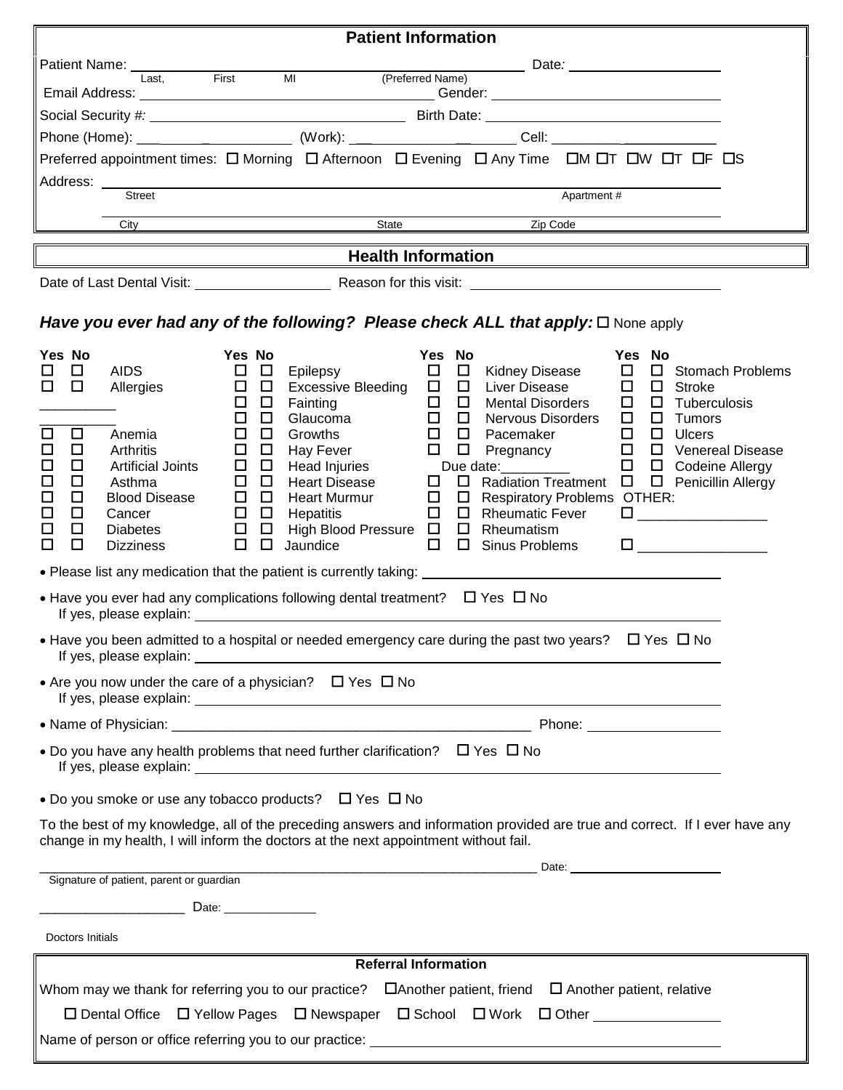| <b>Patient Information</b>                                                                                                                                                                                                                                                                                                                                                                                                                                                                                                                                                                                                                                                                                                                                                                                                                                                                                                                                                                                                                                                                                                                                                                                                                                                                                                                                                                                                                                                                                                                                                                                                                                                                                                                                                                                                                                                                                                                                                                                                                          |  |  |  |  |  |  |
|-----------------------------------------------------------------------------------------------------------------------------------------------------------------------------------------------------------------------------------------------------------------------------------------------------------------------------------------------------------------------------------------------------------------------------------------------------------------------------------------------------------------------------------------------------------------------------------------------------------------------------------------------------------------------------------------------------------------------------------------------------------------------------------------------------------------------------------------------------------------------------------------------------------------------------------------------------------------------------------------------------------------------------------------------------------------------------------------------------------------------------------------------------------------------------------------------------------------------------------------------------------------------------------------------------------------------------------------------------------------------------------------------------------------------------------------------------------------------------------------------------------------------------------------------------------------------------------------------------------------------------------------------------------------------------------------------------------------------------------------------------------------------------------------------------------------------------------------------------------------------------------------------------------------------------------------------------------------------------------------------------------------------------------------------------|--|--|--|--|--|--|
| Patient Name: ___________<br><u>Date: Date: 2008 [19]</u>                                                                                                                                                                                                                                                                                                                                                                                                                                                                                                                                                                                                                                                                                                                                                                                                                                                                                                                                                                                                                                                                                                                                                                                                                                                                                                                                                                                                                                                                                                                                                                                                                                                                                                                                                                                                                                                                                                                                                                                           |  |  |  |  |  |  |
| First MI (Preferred Name)<br>Last.                                                                                                                                                                                                                                                                                                                                                                                                                                                                                                                                                                                                                                                                                                                                                                                                                                                                                                                                                                                                                                                                                                                                                                                                                                                                                                                                                                                                                                                                                                                                                                                                                                                                                                                                                                                                                                                                                                                                                                                                                  |  |  |  |  |  |  |
|                                                                                                                                                                                                                                                                                                                                                                                                                                                                                                                                                                                                                                                                                                                                                                                                                                                                                                                                                                                                                                                                                                                                                                                                                                                                                                                                                                                                                                                                                                                                                                                                                                                                                                                                                                                                                                                                                                                                                                                                                                                     |  |  |  |  |  |  |
|                                                                                                                                                                                                                                                                                                                                                                                                                                                                                                                                                                                                                                                                                                                                                                                                                                                                                                                                                                                                                                                                                                                                                                                                                                                                                                                                                                                                                                                                                                                                                                                                                                                                                                                                                                                                                                                                                                                                                                                                                                                     |  |  |  |  |  |  |
| Preferred appointment times: $\Box$ Morning $\Box$ Afternoon $\Box$ Evening $\Box$ Any Time $\Box$ M $\Box$ T $\Box$ W $\Box$ T $\Box$ F $\Box$ S                                                                                                                                                                                                                                                                                                                                                                                                                                                                                                                                                                                                                                                                                                                                                                                                                                                                                                                                                                                                                                                                                                                                                                                                                                                                                                                                                                                                                                                                                                                                                                                                                                                                                                                                                                                                                                                                                                   |  |  |  |  |  |  |
| <b>Street</b><br>Apartment #                                                                                                                                                                                                                                                                                                                                                                                                                                                                                                                                                                                                                                                                                                                                                                                                                                                                                                                                                                                                                                                                                                                                                                                                                                                                                                                                                                                                                                                                                                                                                                                                                                                                                                                                                                                                                                                                                                                                                                                                                        |  |  |  |  |  |  |
| State<br>Zip Code<br>City                                                                                                                                                                                                                                                                                                                                                                                                                                                                                                                                                                                                                                                                                                                                                                                                                                                                                                                                                                                                                                                                                                                                                                                                                                                                                                                                                                                                                                                                                                                                                                                                                                                                                                                                                                                                                                                                                                                                                                                                                           |  |  |  |  |  |  |
|                                                                                                                                                                                                                                                                                                                                                                                                                                                                                                                                                                                                                                                                                                                                                                                                                                                                                                                                                                                                                                                                                                                                                                                                                                                                                                                                                                                                                                                                                                                                                                                                                                                                                                                                                                                                                                                                                                                                                                                                                                                     |  |  |  |  |  |  |
| <b>Health Information</b>                                                                                                                                                                                                                                                                                                                                                                                                                                                                                                                                                                                                                                                                                                                                                                                                                                                                                                                                                                                                                                                                                                                                                                                                                                                                                                                                                                                                                                                                                                                                                                                                                                                                                                                                                                                                                                                                                                                                                                                                                           |  |  |  |  |  |  |
|                                                                                                                                                                                                                                                                                                                                                                                                                                                                                                                                                                                                                                                                                                                                                                                                                                                                                                                                                                                                                                                                                                                                                                                                                                                                                                                                                                                                                                                                                                                                                                                                                                                                                                                                                                                                                                                                                                                                                                                                                                                     |  |  |  |  |  |  |
| Have you ever had any of the following? Please check ALL that apply: $\square$ None apply                                                                                                                                                                                                                                                                                                                                                                                                                                                                                                                                                                                                                                                                                                                                                                                                                                                                                                                                                                                                                                                                                                                                                                                                                                                                                                                                                                                                                                                                                                                                                                                                                                                                                                                                                                                                                                                                                                                                                           |  |  |  |  |  |  |
| Yes No<br>Yes No<br>Yes No<br>Yes No<br>$\Box$ $\Box$<br>$\Box$<br>□ Kidney Disease<br>$\Box$<br>$\Box$<br>□<br><b>AIDS</b><br>□ Stomach Problems<br>Epilepsy<br>$\Box$ Excessive Bleeding $\Box$<br>□ Liver Disease<br>$\Box$<br>□<br>$\Box$<br>$\Box$<br>$\Box$<br>Allergies<br>Stroke<br>$\Box$<br>$\Box$<br>$\Box$<br>□<br>$\Box$<br><b>Mental Disorders</b><br>$\Box$ Tuberculosis<br>Fainting<br>$\Box$<br>$\Box$<br>$\Box$<br>$\Box$<br>Nervous Disorders<br>$\Box$ $\Box$<br>Glaucoma<br>Tumors<br>$\Box$<br>$\Box$<br>$\Box$ $\Box$ Ulcers<br>$\Box$<br>$\Box$<br>□<br>$\Box$<br>Anemia<br>Growths<br>Pacemaker<br>$\Box$<br>Pregnancy □ □ Venereal Disease<br>□<br>$\Box$<br>$\Box$<br><b>Arthritis</b><br>$\Box$<br>$\Box$<br>Hay Fever<br>Due date: <u>_______________</u><br>□ □ Codeine Allergy<br>$\Box$<br>□<br>$\Box$<br>$\Box$ Head Injuries<br><b>Artificial Joints</b><br>$\Box$<br>□<br>$\Box$<br>$\Box$<br>$\Box$ $\Box$ Radiation Treatment $\Box$ $\Box$ Penicillin Allergy<br>Asthma<br><b>Heart Disease</b><br>□<br>□<br><b>Blood Disease</b><br>$\Box$<br><b>Heart Murmur</b><br>$\Box$ $\Box$ Respiratory Problems OTHER:<br>$\Box$<br>$\Box$<br>□<br>$\Box$ Rheumatic Fever<br>$\Box$ Hepatitis<br>$\Box$<br>Cancer<br>ப<br>$\Box$<br>$\Box$<br>□<br>$\Box$<br>High Blood Pressure □ □ Rheumatism<br><b>Diabetes</b><br>$\Box$<br>$\Box$<br>$\Box$<br>□<br>$\Box$<br>$\Box$<br>Jaundice<br><b>Sinus Problems</b><br><b>Dizziness</b><br>• Please list any medication that the patient is currently taking: University of the state of the state of the state of the state of the state of the state of the state of the state of the state of the state of the state o<br>• Have you ever had any complications following dental treatment? $\Box$ Yes $\Box$ No<br>• Have you been admitted to a hospital or needed emergency care during the past two years? $\Box$ Yes $\Box$ No<br>If yes, please explain: Management of yes, please explain:<br>• Are you now under the care of a physician? $\Box$ Yes $\Box$ No |  |  |  |  |  |  |
|                                                                                                                                                                                                                                                                                                                                                                                                                                                                                                                                                                                                                                                                                                                                                                                                                                                                                                                                                                                                                                                                                                                                                                                                                                                                                                                                                                                                                                                                                                                                                                                                                                                                                                                                                                                                                                                                                                                                                                                                                                                     |  |  |  |  |  |  |
| • Do you have any health problems that need further clarification? $\Box$ Yes $\Box$ No                                                                                                                                                                                                                                                                                                                                                                                                                                                                                                                                                                                                                                                                                                                                                                                                                                                                                                                                                                                                                                                                                                                                                                                                                                                                                                                                                                                                                                                                                                                                                                                                                                                                                                                                                                                                                                                                                                                                                             |  |  |  |  |  |  |
|                                                                                                                                                                                                                                                                                                                                                                                                                                                                                                                                                                                                                                                                                                                                                                                                                                                                                                                                                                                                                                                                                                                                                                                                                                                                                                                                                                                                                                                                                                                                                                                                                                                                                                                                                                                                                                                                                                                                                                                                                                                     |  |  |  |  |  |  |
| • Do you smoke or use any tobacco products? $\Box$ Yes $\Box$ No<br>To the best of my knowledge, all of the preceding answers and information provided are true and correct. If I ever have any<br>change in my health, I will inform the doctors at the next appointment without fail.                                                                                                                                                                                                                                                                                                                                                                                                                                                                                                                                                                                                                                                                                                                                                                                                                                                                                                                                                                                                                                                                                                                                                                                                                                                                                                                                                                                                                                                                                                                                                                                                                                                                                                                                                             |  |  |  |  |  |  |
| Signature of patient, parent or guardian                                                                                                                                                                                                                                                                                                                                                                                                                                                                                                                                                                                                                                                                                                                                                                                                                                                                                                                                                                                                                                                                                                                                                                                                                                                                                                                                                                                                                                                                                                                                                                                                                                                                                                                                                                                                                                                                                                                                                                                                            |  |  |  |  |  |  |
|                                                                                                                                                                                                                                                                                                                                                                                                                                                                                                                                                                                                                                                                                                                                                                                                                                                                                                                                                                                                                                                                                                                                                                                                                                                                                                                                                                                                                                                                                                                                                                                                                                                                                                                                                                                                                                                                                                                                                                                                                                                     |  |  |  |  |  |  |
| Doctors Initials                                                                                                                                                                                                                                                                                                                                                                                                                                                                                                                                                                                                                                                                                                                                                                                                                                                                                                                                                                                                                                                                                                                                                                                                                                                                                                                                                                                                                                                                                                                                                                                                                                                                                                                                                                                                                                                                                                                                                                                                                                    |  |  |  |  |  |  |
| <b>Referral Information</b>                                                                                                                                                                                                                                                                                                                                                                                                                                                                                                                                                                                                                                                                                                                                                                                                                                                                                                                                                                                                                                                                                                                                                                                                                                                                                                                                                                                                                                                                                                                                                                                                                                                                                                                                                                                                                                                                                                                                                                                                                         |  |  |  |  |  |  |
| Whom may we thank for referring you to our practice? $\Box$ Another patient, friend $\Box$ Another patient, relative<br>$\Box$ Dental Office $\Box$ Yellow Pages $\Box$ Newspaper $\Box$ School $\Box$ Work<br>□ Other <u>_______________</u>                                                                                                                                                                                                                                                                                                                                                                                                                                                                                                                                                                                                                                                                                                                                                                                                                                                                                                                                                                                                                                                                                                                                                                                                                                                                                                                                                                                                                                                                                                                                                                                                                                                                                                                                                                                                       |  |  |  |  |  |  |

Name of person or office referring you to our practice: \_\_\_\_\_\_\_\_\_\_\_\_\_\_\_\_\_\_\_\_\_\_\_\_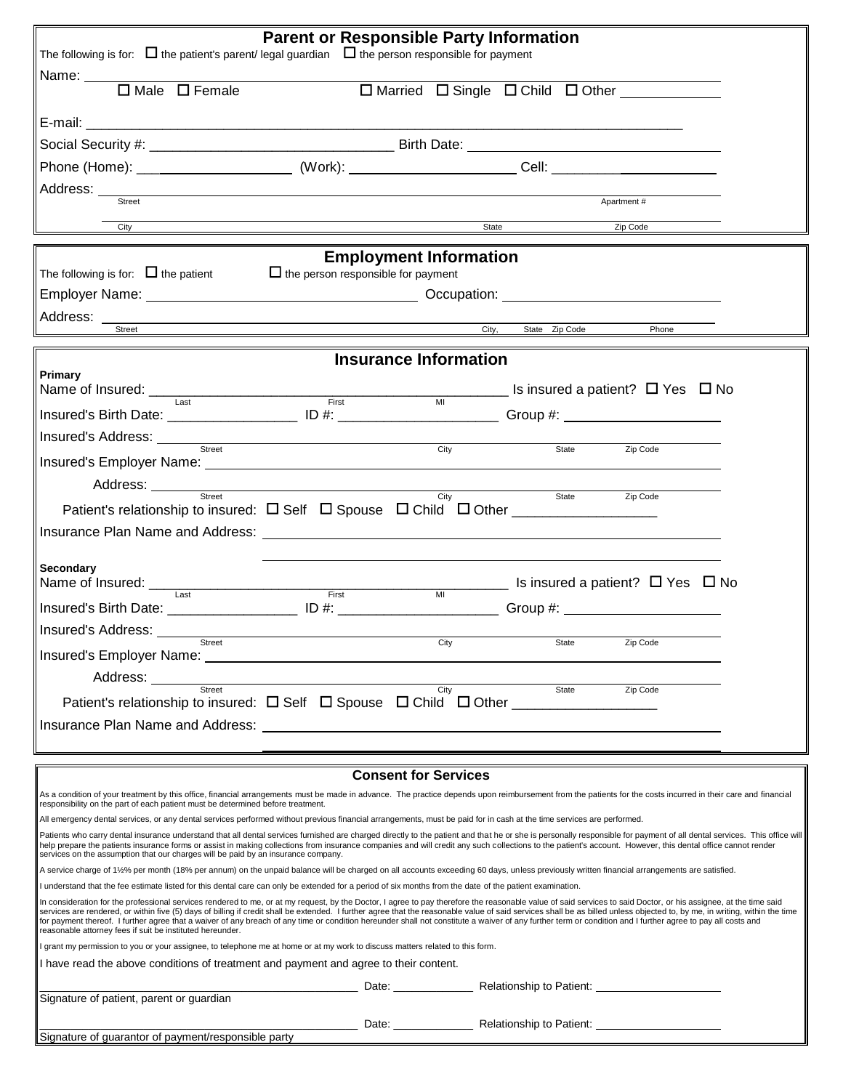| <b>Parent or Responsible Party Information</b><br>The following is for: $\Box$ the patient's parent/legal guardian $\Box$ the person responsible for payment                                                                                                                                                                                                                                                                                                                                                                                                                                                                                                                                                                |                                                                                                                                                                                                                                     |                              |                      |                                                                                                            |  |  |
|-----------------------------------------------------------------------------------------------------------------------------------------------------------------------------------------------------------------------------------------------------------------------------------------------------------------------------------------------------------------------------------------------------------------------------------------------------------------------------------------------------------------------------------------------------------------------------------------------------------------------------------------------------------------------------------------------------------------------------|-------------------------------------------------------------------------------------------------------------------------------------------------------------------------------------------------------------------------------------|------------------------------|----------------------|------------------------------------------------------------------------------------------------------------|--|--|
|                                                                                                                                                                                                                                                                                                                                                                                                                                                                                                                                                                                                                                                                                                                             |                                                                                                                                                                                                                                     |                              |                      |                                                                                                            |  |  |
| Name: <del>□</del> Male □ Female □ □ Married □ Single □ Child □ Other □                                                                                                                                                                                                                                                                                                                                                                                                                                                                                                                                                                                                                                                     |                                                                                                                                                                                                                                     |                              |                      |                                                                                                            |  |  |
|                                                                                                                                                                                                                                                                                                                                                                                                                                                                                                                                                                                                                                                                                                                             |                                                                                                                                                                                                                                     |                              |                      |                                                                                                            |  |  |
|                                                                                                                                                                                                                                                                                                                                                                                                                                                                                                                                                                                                                                                                                                                             |                                                                                                                                                                                                                                     |                              |                      |                                                                                                            |  |  |
|                                                                                                                                                                                                                                                                                                                                                                                                                                                                                                                                                                                                                                                                                                                             |                                                                                                                                                                                                                                     |                              |                      |                                                                                                            |  |  |
| Address: <u>Street</u>                                                                                                                                                                                                                                                                                                                                                                                                                                                                                                                                                                                                                                                                                                      |                                                                                                                                                                                                                                     |                              |                      |                                                                                                            |  |  |
|                                                                                                                                                                                                                                                                                                                                                                                                                                                                                                                                                                                                                                                                                                                             |                                                                                                                                                                                                                                     |                              |                      | Apartment#                                                                                                 |  |  |
| City                                                                                                                                                                                                                                                                                                                                                                                                                                                                                                                                                                                                                                                                                                                        | <u>State</u> and Tip Code and Tip Code and Tip Code and Tip Code and Tip Code and Tip Code and Tip Code and Tip Code and Tip Code and Tip Code and Tip Code and Tip Code and Tip Code and Tip Code and Tip Code and Tip Code and Ti |                              |                      |                                                                                                            |  |  |
| <b>Employment Information</b>                                                                                                                                                                                                                                                                                                                                                                                                                                                                                                                                                                                                                                                                                               |                                                                                                                                                                                                                                     |                              |                      |                                                                                                            |  |  |
| The following is for: $\Box$ the patient                                                                                                                                                                                                                                                                                                                                                                                                                                                                                                                                                                                                                                                                                    | $\Box$ the person responsible for payment                                                                                                                                                                                           |                              |                      |                                                                                                            |  |  |
|                                                                                                                                                                                                                                                                                                                                                                                                                                                                                                                                                                                                                                                                                                                             |                                                                                                                                                                                                                                     |                              |                      |                                                                                                            |  |  |
| Address:<br>Street                                                                                                                                                                                                                                                                                                                                                                                                                                                                                                                                                                                                                                                                                                          |                                                                                                                                                                                                                                     |                              | City, State Zip Code | Phone                                                                                                      |  |  |
|                                                                                                                                                                                                                                                                                                                                                                                                                                                                                                                                                                                                                                                                                                                             |                                                                                                                                                                                                                                     |                              |                      |                                                                                                            |  |  |
|                                                                                                                                                                                                                                                                                                                                                                                                                                                                                                                                                                                                                                                                                                                             |                                                                                                                                                                                                                                     | <b>Insurance Information</b> |                      |                                                                                                            |  |  |
| Primary<br>Name of Insured: Last                                                                                                                                                                                                                                                                                                                                                                                                                                                                                                                                                                                                                                                                                            |                                                                                                                                                                                                                                     |                              |                      | $F_{\text{first}}$ MI NO $F_{\text{first}}$ MI NO $F_{\text{test}}$ a patient? $\Box$ Yes $\Box$ No        |  |  |
|                                                                                                                                                                                                                                                                                                                                                                                                                                                                                                                                                                                                                                                                                                                             |                                                                                                                                                                                                                                     |                              |                      |                                                                                                            |  |  |
|                                                                                                                                                                                                                                                                                                                                                                                                                                                                                                                                                                                                                                                                                                                             |                                                                                                                                                                                                                                     |                              |                      |                                                                                                            |  |  |
| Insured's Address: <u>with a street of the street of the street of the street of the street of the street of the street of the street of the street of the street of the street of the street of the street of the street of the</u>                                                                                                                                                                                                                                                                                                                                                                                                                                                                                        |                                                                                                                                                                                                                                     | City                         | State                | Zip Code                                                                                                   |  |  |
|                                                                                                                                                                                                                                                                                                                                                                                                                                                                                                                                                                                                                                                                                                                             |                                                                                                                                                                                                                                     |                              |                      |                                                                                                            |  |  |
| Address: <u>Street Street City</u>                                                                                                                                                                                                                                                                                                                                                                                                                                                                                                                                                                                                                                                                                          |                                                                                                                                                                                                                                     |                              | State                | Zip Code                                                                                                   |  |  |
|                                                                                                                                                                                                                                                                                                                                                                                                                                                                                                                                                                                                                                                                                                                             |                                                                                                                                                                                                                                     |                              |                      |                                                                                                            |  |  |
|                                                                                                                                                                                                                                                                                                                                                                                                                                                                                                                                                                                                                                                                                                                             |                                                                                                                                                                                                                                     |                              |                      |                                                                                                            |  |  |
| Secondary                                                                                                                                                                                                                                                                                                                                                                                                                                                                                                                                                                                                                                                                                                                   |                                                                                                                                                                                                                                     |                              |                      |                                                                                                            |  |  |
| Name of Insured: Last Last                                                                                                                                                                                                                                                                                                                                                                                                                                                                                                                                                                                                                                                                                                  | First                                                                                                                                                                                                                               | $\overline{M}$               |                      | Letter a patient? □ Yes □ No                                                                               |  |  |
| Insured's Birth Date: _______________________ ID #: _________________________Group #: ________________________                                                                                                                                                                                                                                                                                                                                                                                                                                                                                                                                                                                                              |                                                                                                                                                                                                                                     |                              |                      |                                                                                                            |  |  |
|                                                                                                                                                                                                                                                                                                                                                                                                                                                                                                                                                                                                                                                                                                                             |                                                                                                                                                                                                                                     |                              |                      |                                                                                                            |  |  |
| Insured's Employer Name: ___                                                                                                                                                                                                                                                                                                                                                                                                                                                                                                                                                                                                                                                                                                |                                                                                                                                                                                                                                     | City                         | State                | Zip Code                                                                                                   |  |  |
| Address: _______                                                                                                                                                                                                                                                                                                                                                                                                                                                                                                                                                                                                                                                                                                            |                                                                                                                                                                                                                                     |                              |                      |                                                                                                            |  |  |
| Street<br>Patient's relationship to insured: $\Box$ Self $\Box$ Spouse $\Box$ Child $\Box$ Other _____________________                                                                                                                                                                                                                                                                                                                                                                                                                                                                                                                                                                                                      |                                                                                                                                                                                                                                     | City                         | State                | Zip Code                                                                                                   |  |  |
|                                                                                                                                                                                                                                                                                                                                                                                                                                                                                                                                                                                                                                                                                                                             |                                                                                                                                                                                                                                     |                              |                      |                                                                                                            |  |  |
|                                                                                                                                                                                                                                                                                                                                                                                                                                                                                                                                                                                                                                                                                                                             |                                                                                                                                                                                                                                     |                              |                      |                                                                                                            |  |  |
|                                                                                                                                                                                                                                                                                                                                                                                                                                                                                                                                                                                                                                                                                                                             |                                                                                                                                                                                                                                     |                              |                      |                                                                                                            |  |  |
|                                                                                                                                                                                                                                                                                                                                                                                                                                                                                                                                                                                                                                                                                                                             |                                                                                                                                                                                                                                     | <b>Consent for Services</b>  |                      |                                                                                                            |  |  |
| As a condition of your treatment by this office, financial arrangements must be made in advance. The practice depends upon reimbursement from the patients for the costs incurred in their care and financial<br>responsibility on the part of each patient must be determined before treatment.                                                                                                                                                                                                                                                                                                                                                                                                                            |                                                                                                                                                                                                                                     |                              |                      |                                                                                                            |  |  |
| All emergency dental services, or any dental services performed without previous financial arrangements, must be paid for in cash at the time services are performed.                                                                                                                                                                                                                                                                                                                                                                                                                                                                                                                                                       |                                                                                                                                                                                                                                     |                              |                      |                                                                                                            |  |  |
| Patients who carry dental insurance understand that all dental services furnished are charged directly to the patient and that he or she is personally responsible for payment of all dental services. This office will<br>help prepare the patients insurance forms or assist in making collections from insurance companies and will credit any such collections to the patient's account. However, this dental office cannot render<br>services on the assumption that our charges will be paid by an insurance company.                                                                                                                                                                                                 |                                                                                                                                                                                                                                     |                              |                      |                                                                                                            |  |  |
| A service charge of 1½% per month (18% per annum) on the unpaid balance will be charged on all accounts exceeding 60 days, unless previously written financial arrangements are satisfied.<br>I understand that the fee estimate listed for this dental care can only be extended for a period of six months from the date of the patient examination.                                                                                                                                                                                                                                                                                                                                                                      |                                                                                                                                                                                                                                     |                              |                      |                                                                                                            |  |  |
| In consideration for the professional services rendered to me, or at my request, by the Doctor, I agree to pay therefore the reasonable value of said services to said Doctor, or his assignee, at the time said<br>services are rendered, or within five (5) days of billing if credit shall be extended. I further agree that the reasonable value of said services shall be as billed unless objected to, by me, in writing, within the time<br>for payment thereof. I further agree that a waiver of any breach of any time or condition hereunder shall not constitute a waiver of any further term or condition and I further agree to pay all costs and<br>reasonable attorney fees if suit be instituted hereunder. |                                                                                                                                                                                                                                     |                              |                      |                                                                                                            |  |  |
| I grant my permission to you or your assignee, to telephone me at home or at my work to discuss matters related to this form.                                                                                                                                                                                                                                                                                                                                                                                                                                                                                                                                                                                               |                                                                                                                                                                                                                                     |                              |                      |                                                                                                            |  |  |
| I have read the above conditions of treatment and payment and agree to their content.                                                                                                                                                                                                                                                                                                                                                                                                                                                                                                                                                                                                                                       |                                                                                                                                                                                                                                     |                              |                      |                                                                                                            |  |  |
| Signature of patient, parent or guardian                                                                                                                                                                                                                                                                                                                                                                                                                                                                                                                                                                                                                                                                                    |                                                                                                                                                                                                                                     |                              |                      | Date: <u>Charles Relationship</u> to Patient: Charles Date: Charles Date: Charles Relationship to Patient: |  |  |
|                                                                                                                                                                                                                                                                                                                                                                                                                                                                                                                                                                                                                                                                                                                             |                                                                                                                                                                                                                                     |                              |                      |                                                                                                            |  |  |
| Signature of guarantor of payment/responsible party                                                                                                                                                                                                                                                                                                                                                                                                                                                                                                                                                                                                                                                                         |                                                                                                                                                                                                                                     |                              |                      |                                                                                                            |  |  |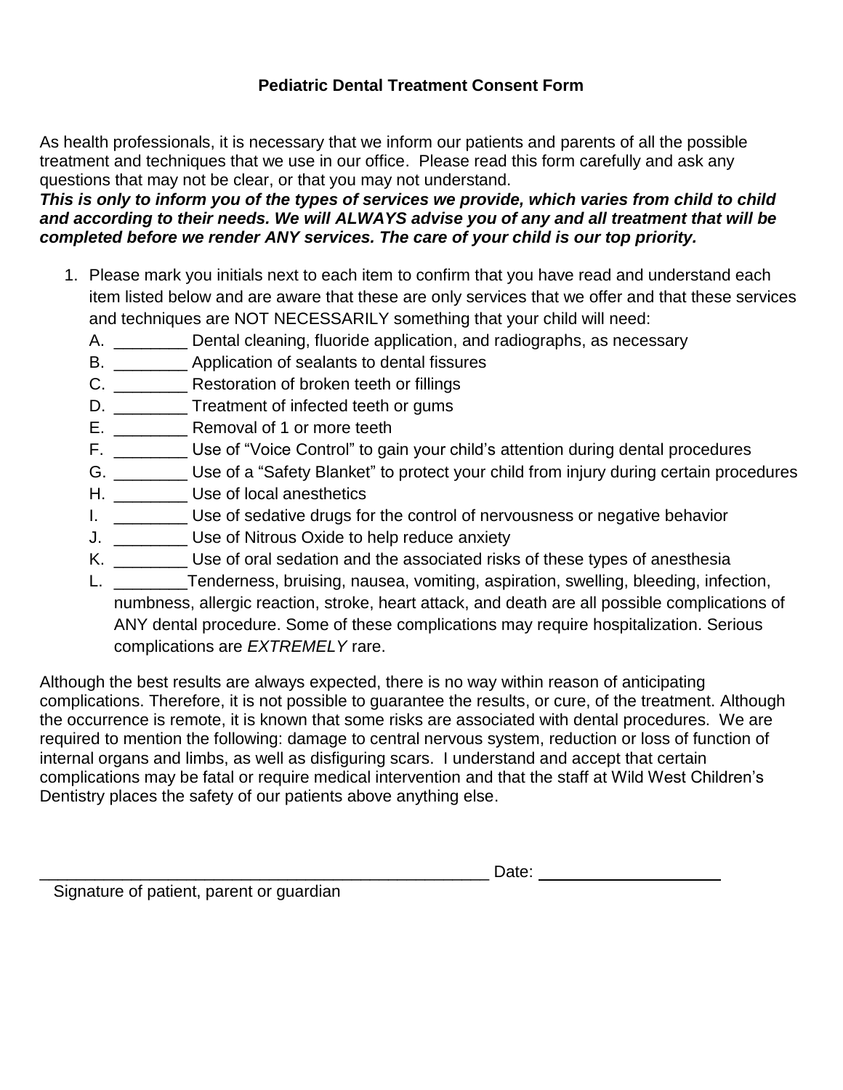### **Pediatric Dental Treatment Consent Form**

As health professionals, it is necessary that we inform our patients and parents of all the possible treatment and techniques that we use in our office. Please read this form carefully and ask any questions that may not be clear, or that you may not understand.

### *This is only to inform you of the types of services we provide, which varies from child to child and according to their needs. We will ALWAYS advise you of any and all treatment that will be completed before we render ANY services. The care of your child is our top priority.*

- 1. Please mark you initials next to each item to confirm that you have read and understand each item listed below and are aware that these are only services that we offer and that these services and techniques are NOT NECESSARILY something that your child will need:
	- A. \_\_\_\_\_\_\_\_\_ Dental cleaning, fluoride application, and radiographs, as necessary
	- B. \_\_\_\_\_\_\_\_ Application of sealants to dental fissures
	- C. \_\_\_\_\_\_\_\_ Restoration of broken teeth or fillings
	- D. \_\_\_\_\_\_\_\_\_\_ Treatment of infected teeth or gums
	- E. \_\_\_\_\_\_\_\_\_\_\_\_ Removal of 1 or more teeth
	- F. \_\_\_\_\_\_\_\_ Use of "Voice Control" to gain your child's attention during dental procedures
	- G. \_\_\_\_\_\_\_\_ Use of a "Safety Blanket" to protect your child from injury during certain procedures
	- H. \_\_\_\_\_\_\_\_\_\_\_ Use of local anesthetics
	- I. Use of sedative drugs for the control of nervousness or negative behavior
	- J. \_\_\_\_\_\_\_\_ Use of Nitrous Oxide to help reduce anxiety
	- K. \_\_\_\_\_\_\_\_\_ Use of oral sedation and the associated risks of these types of anesthesia
	- L. \_\_\_\_\_\_\_\_Tenderness, bruising, nausea, vomiting, aspiration, swelling, bleeding, infection, numbness, allergic reaction, stroke, heart attack, and death are all possible complications of ANY dental procedure. Some of these complications may require hospitalization. Serious complications are *EXTREMELY* rare.

Although the best results are always expected, there is no way within reason of anticipating complications. Therefore, it is not possible to guarantee the results, or cure, of the treatment. Although the occurrence is remote, it is known that some risks are associated with dental procedures. We are required to mention the following: damage to central nervous system, reduction or loss of function of internal organs and limbs, as well as disfiguring scars. I understand and accept that certain complications may be fatal or require medical intervention and that the staff at Wild West Children's Dentistry places the safety of our patients above anything else.

\_\_\_\_\_\_\_\_\_\_\_\_\_\_\_\_\_\_\_\_\_\_\_\_\_\_\_\_\_\_\_\_\_\_\_\_\_\_\_\_\_\_\_\_\_\_\_\_\_ Date:

Signature of patient, parent or guardian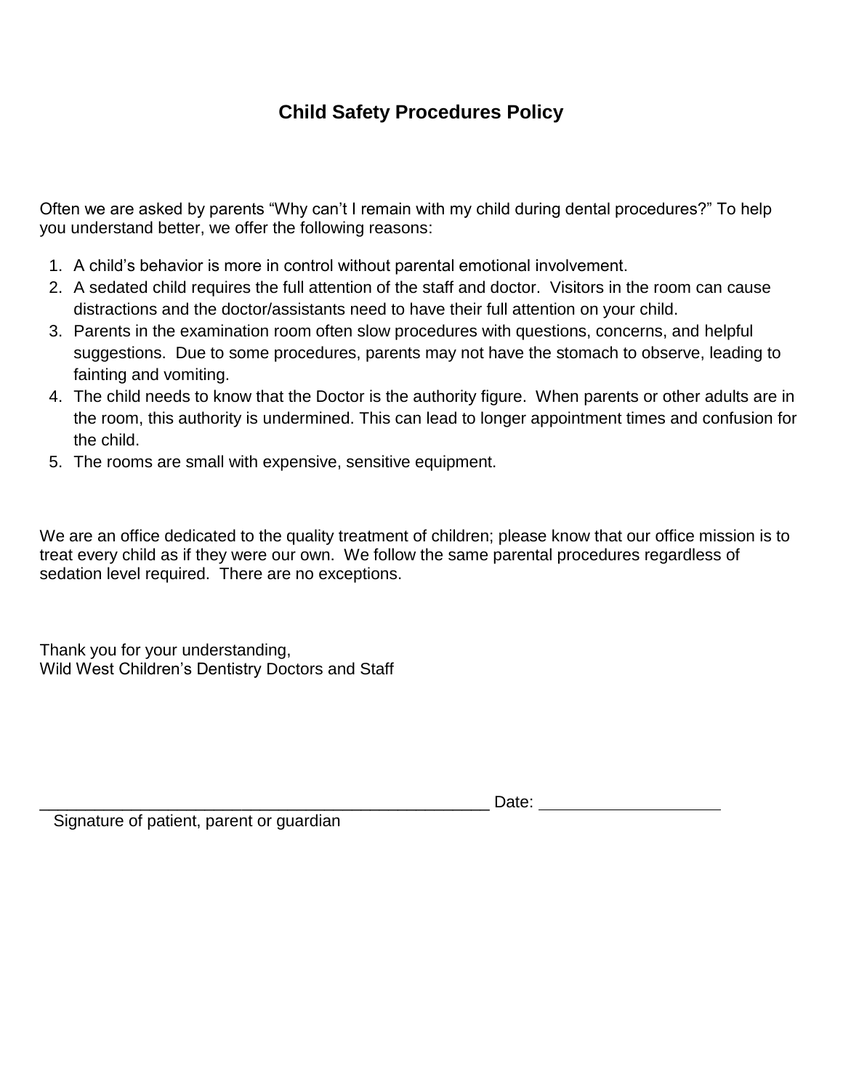# **Child Safety Procedures Policy**

Often we are asked by parents "Why can't I remain with my child during dental procedures?" To help you understand better, we offer the following reasons:

- 1. A child's behavior is more in control without parental emotional involvement.
- 2. A sedated child requires the full attention of the staff and doctor. Visitors in the room can cause distractions and the doctor/assistants need to have their full attention on your child.
- 3. Parents in the examination room often slow procedures with questions, concerns, and helpful suggestions. Due to some procedures, parents may not have the stomach to observe, leading to fainting and vomiting.
- 4. The child needs to know that the Doctor is the authority figure. When parents or other adults are in the room, this authority is undermined. This can lead to longer appointment times and confusion for the child.
- 5. The rooms are small with expensive, sensitive equipment.

We are an office dedicated to the quality treatment of children; please know that our office mission is to treat every child as if they were our own. We follow the same parental procedures regardless of sedation level required. There are no exceptions.

Thank you for your understanding, Wild West Children's Dentistry Doctors and Staff

\_\_\_\_\_\_\_\_\_\_\_\_\_\_\_\_\_\_\_\_\_\_\_\_\_\_\_\_\_\_\_\_\_\_\_\_\_\_\_\_\_\_\_\_\_\_\_\_\_ Date:

Signature of patient, parent or guardian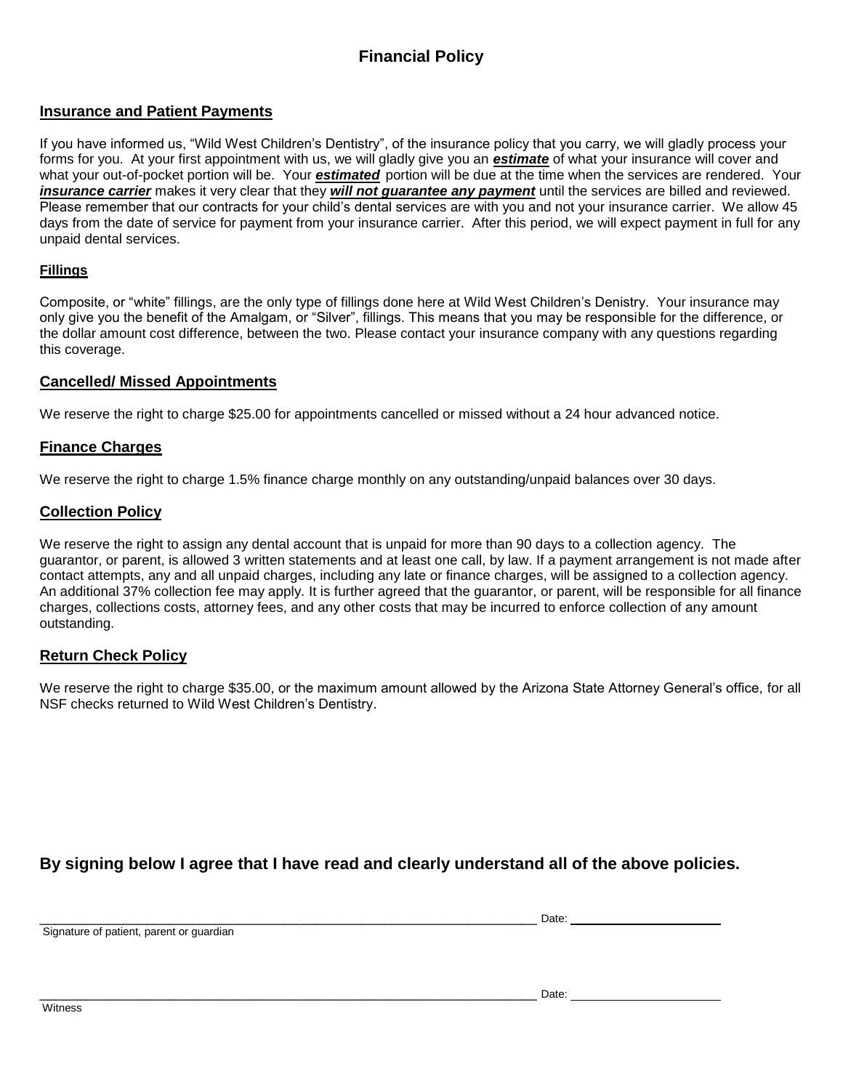## **Financial Policy**

#### **Insurance and Patient Payments**

If you have informed us, "Wild West Children's Dentistry", of the insurance policy that you carry, we will gladly process your forms for you. At your first appointment with us, we will gladly give you an *estimate* of what your insurance will cover and what your out-of-pocket portion will be. Your *estimated* portion will be due at the time when the services are rendered. Your *insurance carrier* makes it very clear that they *will not guarantee any payment* until the services are billed and reviewed. Please remember that our contracts for your child's dental services are with you and not your insurance carrier. We allow 45 days from the date of service for payment from your insurance carrier. After this period, we will expect payment in full for any unpaid dental services.

#### **Fillings**

Composite, or "white" fillings, are the only type of fillings done here at Wild West Children's Denistry. Your insurance may only give you the benefit of the Amalgam, or "Silver", fillings. This means that you may be responsible for the difference, or the dollar amount cost difference, between the two. Please contact your insurance company with any questions regarding this coverage.

#### **Cancelled/ Missed Appointments**

We reserve the right to charge \$25.00 for appointments cancelled or missed without a 24 hour advanced notice.

#### **Finance Charges**

We reserve the right to charge 1.5% finance charge monthly on any outstanding/unpaid balances over 30 days.

#### **Collection Policy**

We reserve the right to assign any dental account that is unpaid for more than 90 days to a collection agency. The guarantor, or parent, is allowed 3 written statements and at least one call, by law. If a payment arrangement is not made after contact attempts, any and all unpaid charges, including any late or finance charges, will be assigned to a collection agency. An additional 37% collection fee may apply. It is further agreed that the guarantor, or parent, will be responsible for all finance charges, collections costs, attorney fees, and any other costs that may be incurred to enforce collection of any amount outstanding.

#### **Return Check Policy**

We reserve the right to charge \$35.00, or the maximum amount allowed by the Arizona State Attorney General's office, for all NSF checks returned to Wild West Children's Dentistry.

#### **By signing below I agree that I have read and clearly understand all of the above policies.**

\_\_\_\_\_\_\_\_\_\_\_\_\_\_\_\_\_\_\_\_\_\_\_\_\_\_\_\_\_\_\_\_\_\_\_\_\_\_\_\_\_\_\_\_\_\_\_\_\_\_\_\_\_\_\_\_\_\_\_\_\_\_\_\_\_ Date:

Signature of patient, parent or guardian